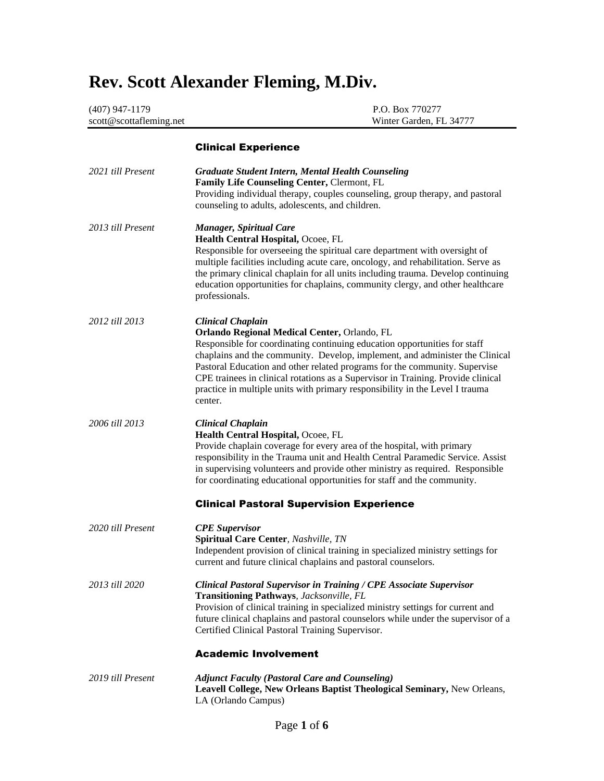# **Rev. Scott Alexander Fleming, M.Div.**

| $(407)$ 947-1179        | P.O. Box 770277         |
|-------------------------|-------------------------|
| scott@scottafleming.net | Winter Garden, FL 34777 |

## Clinical Experience

| 2021 till Present | <b>Graduate Student Intern, Mental Health Counseling</b><br>Family Life Counseling Center, Clermont, FL<br>Providing individual therapy, couples counseling, group therapy, and pastoral<br>counseling to adults, adolescents, and children.                                                                                                                                                                                                                                                       |
|-------------------|----------------------------------------------------------------------------------------------------------------------------------------------------------------------------------------------------------------------------------------------------------------------------------------------------------------------------------------------------------------------------------------------------------------------------------------------------------------------------------------------------|
| 2013 till Present | <b>Manager, Spiritual Care</b><br>Health Central Hospital, Ocoee, FL<br>Responsible for overseeing the spiritual care department with oversight of<br>multiple facilities including acute care, oncology, and rehabilitation. Serve as<br>the primary clinical chaplain for all units including trauma. Develop continuing<br>education opportunities for chaplains, community clergy, and other healthcare<br>professionals.                                                                      |
| 2012 till 2013    | <b>Clinical Chaplain</b><br>Orlando Regional Medical Center, Orlando, FL<br>Responsible for coordinating continuing education opportunities for staff<br>chaplains and the community. Develop, implement, and administer the Clinical<br>Pastoral Education and other related programs for the community. Supervise<br>CPE trainees in clinical rotations as a Supervisor in Training. Provide clinical<br>practice in multiple units with primary responsibility in the Level I trauma<br>center. |
| 2006 till 2013    | <b>Clinical Chaplain</b><br>Health Central Hospital, Ocoee, FL<br>Provide chaplain coverage for every area of the hospital, with primary<br>responsibility in the Trauma unit and Health Central Paramedic Service. Assist<br>in supervising volunteers and provide other ministry as required. Responsible<br>for coordinating educational opportunities for staff and the community.                                                                                                             |
|                   | <b>Clinical Pastoral Supervision Experience</b>                                                                                                                                                                                                                                                                                                                                                                                                                                                    |
| 2020 till Present | <b>CPE</b> Supervisor<br><b>Spiritual Care Center</b> , Nashville, TN<br>Independent provision of clinical training in specialized ministry settings for<br>current and future clinical chaplains and pastoral counselors.                                                                                                                                                                                                                                                                         |
| 2013 till 2020    | <b>Clinical Pastoral Supervisor in Training / CPE Associate Supervisor</b><br><b>Transitioning Pathways</b> , Jacksonville, FL<br>Provision of clinical training in specialized ministry settings for current and<br>future clinical chaplains and pastoral counselors while under the supervisor of a<br>Certified Clinical Pastoral Training Supervisor.                                                                                                                                         |
|                   | <b>Academic Involvement</b>                                                                                                                                                                                                                                                                                                                                                                                                                                                                        |
| 2019 till Present | <b>Adjunct Faculty (Pastoral Care and Counseling)</b><br>Leavell College, New Orleans Baptist Theological Seminary, New Orleans,<br>LA (Orlando Campus)                                                                                                                                                                                                                                                                                                                                            |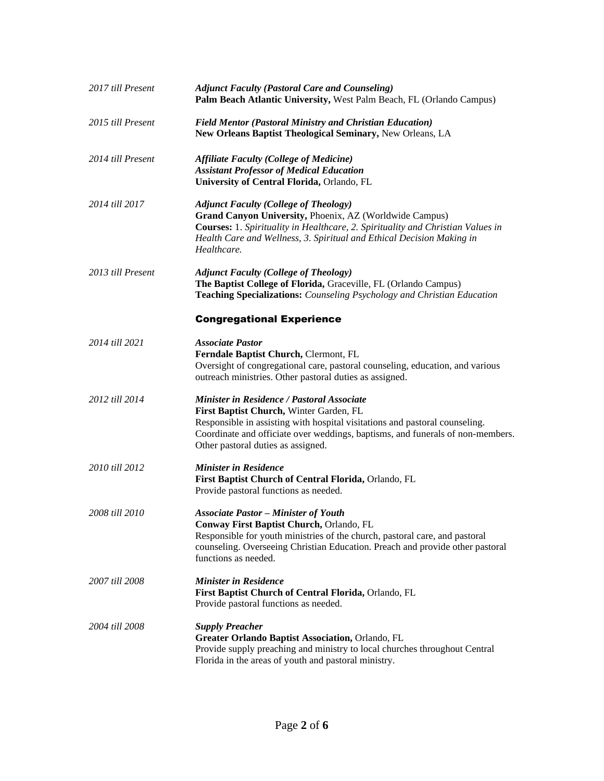| 2017 till Present | <b>Adjunct Faculty (Pastoral Care and Counseling)</b><br>Palm Beach Atlantic University, West Palm Beach, FL (Orlando Campus)                                                                                                                                                                       |
|-------------------|-----------------------------------------------------------------------------------------------------------------------------------------------------------------------------------------------------------------------------------------------------------------------------------------------------|
| 2015 till Present | <b>Field Mentor (Pastoral Ministry and Christian Education)</b><br>New Orleans Baptist Theological Seminary, New Orleans, LA                                                                                                                                                                        |
| 2014 till Present | <b>Affiliate Faculty (College of Medicine)</b><br><b>Assistant Professor of Medical Education</b><br>University of Central Florida, Orlando, FL                                                                                                                                                     |
| 2014 till 2017    | <b>Adjunct Faculty (College of Theology)</b><br>Grand Canyon University, Phoenix, AZ (Worldwide Campus)<br>Courses: 1. Spirituality in Healthcare, 2. Spirituality and Christian Values in<br>Health Care and Wellness, 3. Spiritual and Ethical Decision Making in<br>Healthcare.                  |
| 2013 till Present | <b>Adjunct Faculty (College of Theology)</b><br>The Baptist College of Florida, Graceville, FL (Orlando Campus)<br>Teaching Specializations: Counseling Psychology and Christian Education                                                                                                          |
|                   | <b>Congregational Experience</b>                                                                                                                                                                                                                                                                    |
| 2014 till 2021    | <b>Associate Pastor</b><br>Ferndale Baptist Church, Clermont, FL<br>Oversight of congregational care, pastoral counseling, education, and various<br>outreach ministries. Other pastoral duties as assigned.                                                                                        |
| 2012 till 2014    | <b>Minister in Residence / Pastoral Associate</b><br>First Baptist Church, Winter Garden, FL<br>Responsible in assisting with hospital visitations and pastoral counseling.<br>Coordinate and officiate over weddings, baptisms, and funerals of non-members.<br>Other pastoral duties as assigned. |
| 2010 till 2012    | <b>Minister in Residence</b><br>First Baptist Church of Central Florida, Orlando, FL<br>Provide pastoral functions as needed.                                                                                                                                                                       |
| 2008 till 2010    | <b>Associate Pastor - Minister of Youth</b><br>Conway First Baptist Church, Orlando, FL<br>Responsible for youth ministries of the church, pastoral care, and pastoral<br>counseling. Overseeing Christian Education. Preach and provide other pastoral<br>functions as needed.                     |
| 2007 till 2008    | <b>Minister in Residence</b><br>First Baptist Church of Central Florida, Orlando, FL<br>Provide pastoral functions as needed.                                                                                                                                                                       |
| 2004 till 2008    | <b>Supply Preacher</b><br>Greater Orlando Baptist Association, Orlando, FL<br>Provide supply preaching and ministry to local churches throughout Central<br>Florida in the areas of youth and pastoral ministry.                                                                                    |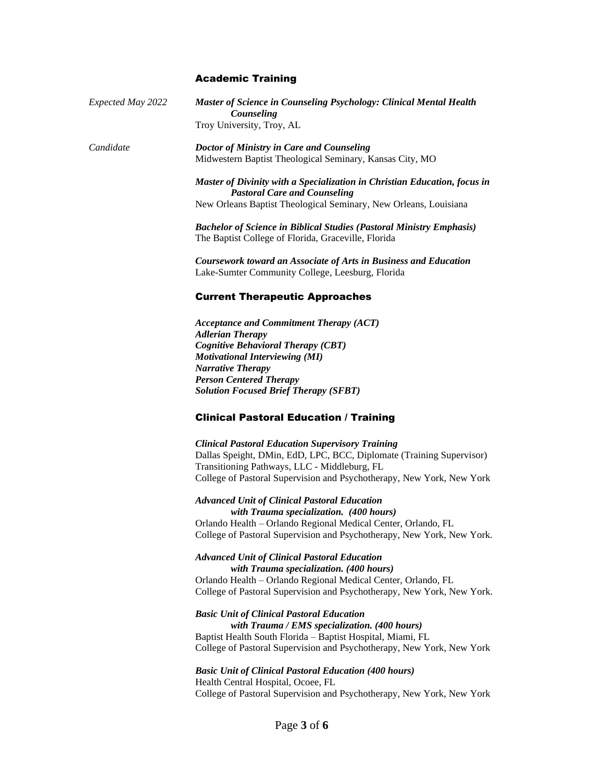### Academic Training

| Expected May 2022 | <b>Master of Science in Counseling Psychology: Clinical Mental Health</b><br>Counseling                                            |
|-------------------|------------------------------------------------------------------------------------------------------------------------------------|
|                   | Troy University, Troy, AL                                                                                                          |
| Candidate         | Doctor of Ministry in Care and Counseling<br>Midwestern Baptist Theological Seminary, Kansas City, MO                              |
|                   | Master of Divinity with a Specialization in Christian Education, focus in<br><b>Pastoral Care and Counseling</b>                   |
|                   | New Orleans Baptist Theological Seminary, New Orleans, Louisiana                                                                   |
|                   | <b>Bachelor of Science in Biblical Studies (Pastoral Ministry Emphasis)</b><br>The Baptist College of Florida, Graceville, Florida |
|                   | Coursework toward an Associate of Arts in Business and Education<br>Lake-Sumter Community College, Leesburg, Florida               |
|                   | <b>Current Therapeutic Approaches</b>                                                                                              |
|                   | Acceptance and Commitment Therapy (ACT)                                                                                            |
|                   | <b>Adlerian Therapy</b>                                                                                                            |
|                   | <b>Cognitive Behavioral Therapy (CBT)</b><br><b>Motivational Interviewing (MI)</b>                                                 |
|                   | <b>Narrative Therapy</b>                                                                                                           |
|                   | <b>Person Centered Therapy</b>                                                                                                     |
|                   | <b>Solution Focused Brief Therapy (SFBT)</b>                                                                                       |
|                   | <b>Clinical Pastoral Education / Training</b>                                                                                      |
|                   | <b>Clinical Pastoral Education Supervisory Training</b>                                                                            |
|                   | Dallas Speight, DMin, EdD, LPC, BCC, Diplomate (Training Supervisor)                                                               |
|                   | Transitioning Pathways, LLC - Middleburg, FL                                                                                       |
|                   | College of Pastoral Supervision and Psychotherapy, New York, New York                                                              |
|                   | <b>Advanced Unit of Clinical Pastoral Education</b><br>with Trauma specialization. (400 hours)                                     |
|                   | Orlando Health - Orlando Regional Medical Center, Orlando, FL                                                                      |
|                   | College of Pastoral Supervision and Psychotherapy, New York, New York.                                                             |
|                   | <b>Advanced Unit of Clinical Pastoral Education</b><br>with Trauma specialization. (400 hours)                                     |
|                   | Orlando Health - Orlando Regional Medical Center, Orlando, FL                                                                      |
|                   | College of Pastoral Supervision and Psychotherapy, New York, New York.                                                             |
|                   | <b>Basic Unit of Clinical Pastoral Education</b><br>with Trauma / EMS specialization. (400 hours)                                  |

Baptist Health South Florida – Baptist Hospital, Miami, FL College of Pastoral Supervision and Psychotherapy, New York, New York

*Basic Unit of Clinical Pastoral Education (400 hours)*

Health Central Hospital, Ocoee, FL College of Pastoral Supervision and Psychotherapy, New York, New York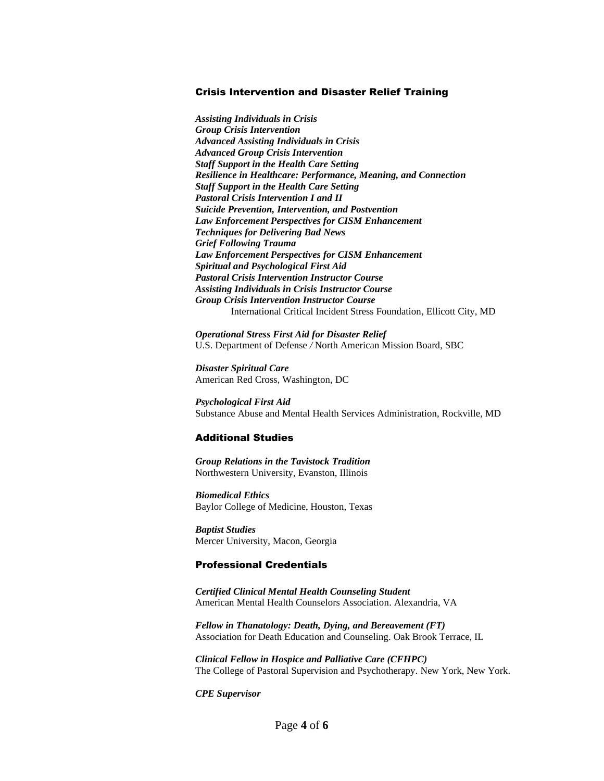#### Crisis Intervention and Disaster Relief Training

*Assisting Individuals in Crisis Group Crisis Intervention Advanced Assisting Individuals in Crisis Advanced Group Crisis Intervention Staff Support in the Health Care Setting Resilience in Healthcare: Performance, Meaning, and Connection Staff Support in the Health Care Setting Pastoral Crisis Intervention I and II Suicide Prevention, Intervention, and Postvention Law Enforcement Perspectives for CISM Enhancement Techniques for Delivering Bad News Grief Following Trauma Law Enforcement Perspectives for CISM Enhancement Spiritual and Psychological First Aid Pastoral Crisis Intervention Instructor Course Assisting Individuals in Crisis Instructor Course Group Crisis Intervention Instructor Course* International Critical Incident Stress Foundation, Ellicott City, MD

*Operational Stress First Aid for Disaster Relief*  U.S. Department of Defense */* North American Mission Board, SBC

*Disaster Spiritual Care* American Red Cross, Washington, DC

*Psychological First Aid* Substance Abuse and Mental Health Services Administration, Rockville, MD

#### Additional Studies

*Group Relations in the Tavistock Tradition* Northwestern University, Evanston, Illinois

*Biomedical Ethics* Baylor College of Medicine, Houston, Texas

*Baptist Studies* Mercer University, Macon, Georgia

#### Professional Credentials

*Certified Clinical Mental Health Counseling Student* American Mental Health Counselors Association. Alexandria, VA

*Fellow in Thanatology: Death, Dying, and Bereavement (FT)* Association for Death Education and Counseling. Oak Brook Terrace, IL

*Clinical Fellow in Hospice and Palliative Care (CFHPC)* The College of Pastoral Supervision and Psychotherapy. New York, New York.

*CPE Supervisor*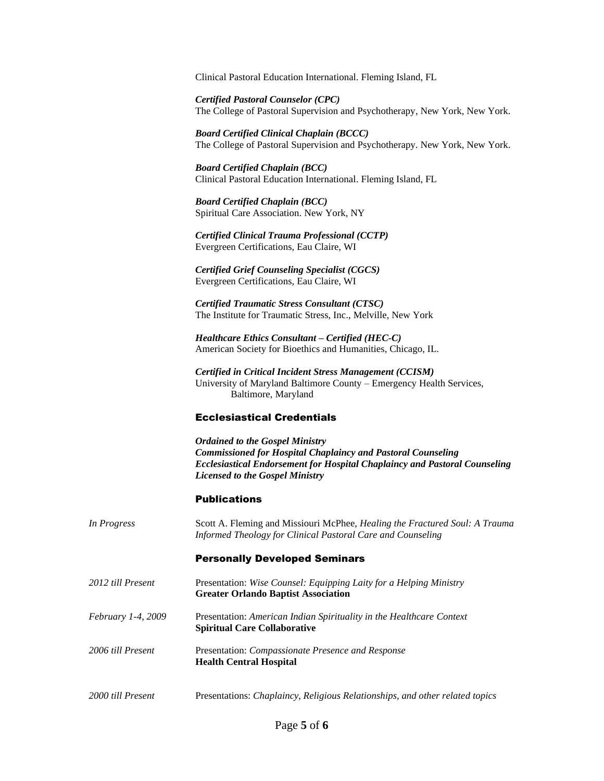Clinical Pastoral Education International. Fleming Island, FL

*Certified Pastoral Counselor (CPC)*  The College of Pastoral Supervision and Psychotherapy, New York, New York.

*Board Certified Clinical Chaplain (BCCC)* The College of Pastoral Supervision and Psychotherapy. New York, New York.

*Board Certified Chaplain (BCC)* Clinical Pastoral Education International. Fleming Island, FL

*Board Certified Chaplain (BCC)* Spiritual Care Association. New York, NY

*Certified Clinical Trauma Professional (CCTP)* Evergreen Certifications, Eau Claire, WI

*Certified Grief Counseling Specialist (CGCS)* Evergreen Certifications, Eau Claire, WI

*Certified Traumatic Stress Consultant (CTSC)* The Institute for Traumatic Stress, Inc., Melville, New York

*Healthcare Ethics Consultant – Certified (HEC-C)* American Society for Bioethics and Humanities, Chicago, IL.

*Certified in Critical Incident Stress Management (CCISM)* University of Maryland Baltimore County – Emergency Health Services, Baltimore, Maryland

## Ecclesiastical Credentials

*Ordained to the Gospel Ministry Commissioned for Hospital Chaplaincy and Pastoral Counseling Ecclesiastical Endorsement for Hospital Chaplaincy and Pastoral Counseling Licensed to the Gospel Ministry*

#### Publications

| In Progress               | Scott A. Fleming and Missiouri McPhee, Healing the Fractured Soul: A Trauma<br>Informed Theology for Clinical Pastoral Care and Counseling |
|---------------------------|--------------------------------------------------------------------------------------------------------------------------------------------|
|                           | <b>Personally Developed Seminars</b>                                                                                                       |
| 2012 till Present         | Presentation: Wise Counsel: Equipping Laity for a Helping Ministry<br><b>Greater Orlando Baptist Association</b>                           |
| <i>February 1-4, 2009</i> | Presentation: American Indian Spirituality in the Healthcare Context<br><b>Spiritual Care Collaborative</b>                                |
| 2006 till Present         | Presentation: <i>Compassionate Presence and Response</i><br><b>Health Central Hospital</b>                                                 |
| 2000 till Present         | Presentations: Chaplaincy, Religious Relationships, and other related topics                                                               |